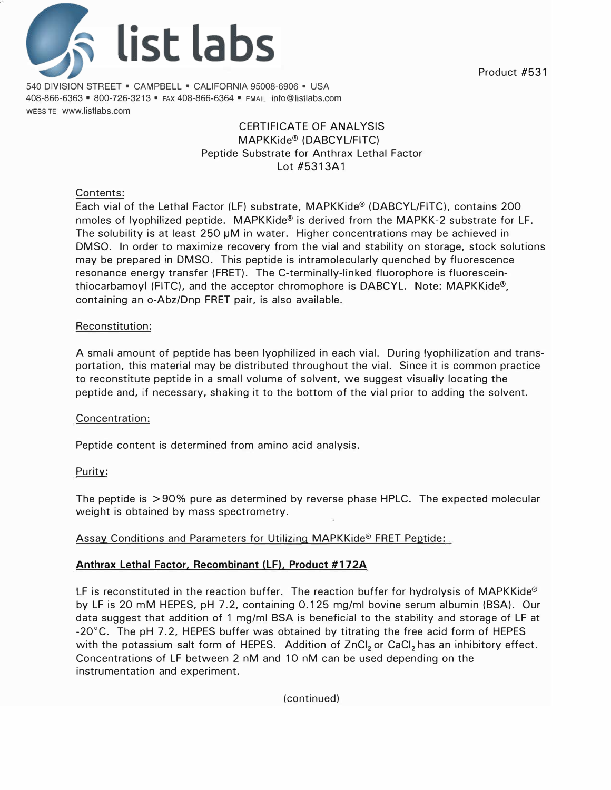

540 DIVISION STREET • CAMPBELL • CALIFORNIA 95008-6906 • USA 408-866-6363 • 800-726-3213 • FAX 408-866-6364 • EMAIL info@listlabs.com WEBSITE www.listlabs.com

# CERTIFICATE OF **ANALYSIS** MAPKKide® (DABCYL/FITC) Peptide Substrate for Anthrax Lethal Factor Lot #5313A1

## Contents:

Each vial of the Lethal Factor (LF) substrate, MAPKKide® (DABCYL/FITC), contains 200 nmoles of lyophilized peptide. MAPKKide® is derived from the MAPKK-2 substrate for LF. The solubility is at least 250 µM in water. Higher concentrations may be achieved in DMSO. In order to maximize recovery from the vial and stability on storage, stock solutions may be prepared in DMSO. This peptide is intramolecularly quenched by fluorescence resonance energy transfer (FRET). The C-terminally-linked fluorophore is fluoresceinthiocarbamoyl (FITC), and the acceptor chromophore is DABCYL. Note: MAPKKide®, containing an o-Abz/Dnp FRET pair, is also available.

#### Reconstitution:

A small amount of peptide has been lyophilized in each vial. During lyophilization and transportation, this material may be distributed throughout the vial. Since it is common practice to reconstitute peptide in a small volume of solvent, we suggest visually locating the peptide and, if necessary, shaking it to the bottom of the vial prior to adding the solvent.

#### Concentration:

Peptide content is determined from amino acid analysis.

## Purity:

The peptide is > 90% pure as determined by reverse phase HPLC. The expected molecular weight is obtained by mass spectrometry.

## Assay Conditions and Parameters for Utilizing MAPKKide® FRET Peptide:

## **Anthrax Lethal Factor, Recombinant (LF), Product #172A**

LF is reconstituted in the reaction buffer. The reaction buffer for hydrolysis of MAPKKide® by LF is 20 mM HEPES, pH 7.2, containing 0.125 mg/ml bovine serum albumin (BSA). Our data suggest that addition of 1 mg/ml BSA is beneficial to the stability and storage of LF at -20°C. The pH 7.2, HEPES buffer was obtained by titrating the free acid form of HEPES with the potassium salt form of HEPES. Addition of ZnCl<sub>2</sub> or CaCl<sub>2</sub> has an inhibitory effect. Concentrations of LF between 2 nM and 10 nM can be used depending on the instrumentation and experiment.

(continued)

Product #531